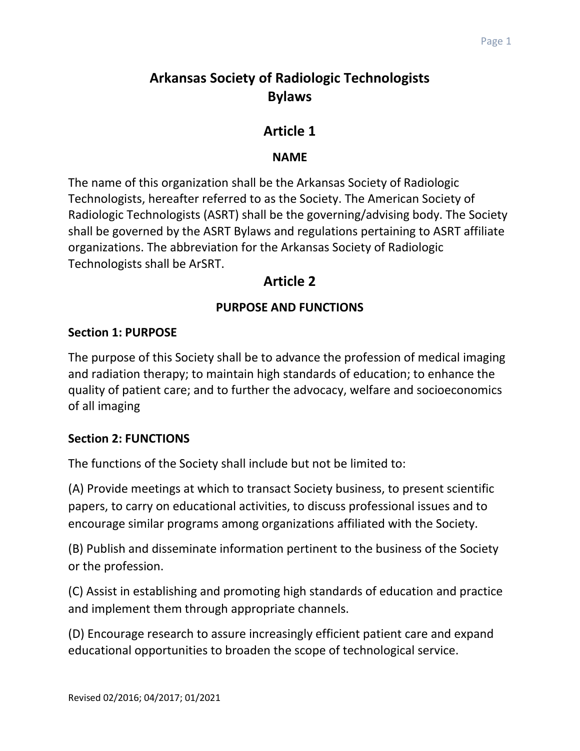# **Arkansas Society of Radiologic Technologists Bylaws**

# **Article 1**

## **NAME**

The name of this organization shall be the Arkansas Society of Radiologic Technologists, hereafter referred to as the Society. The American Society of Radiologic Technologists (ASRT) shall be the governing/advising body. The Society shall be governed by the ASRT Bylaws and regulations pertaining to ASRT affiliate organizations. The abbreviation for the Arkansas Society of Radiologic Technologists shall be ArSRT.

# **Article 2**

# **PURPOSE AND FUNCTIONS**

## **Section 1: PURPOSE**

The purpose of this Society shall be to advance the profession of medical imaging and radiation therapy; to maintain high standards of education; to enhance the quality of patient care; and to further the advocacy, welfare and socioeconomics of all imaging

## **Section 2: FUNCTIONS**

The functions of the Society shall include but not be limited to:

(A) Provide meetings at which to transact Society business, to present scientific papers, to carry on educational activities, to discuss professional issues and to encourage similar programs among organizations affiliated with the Society.

(B) Publish and disseminate information pertinent to the business of the Society or the profession.

(C) Assist in establishing and promoting high standards of education and practice and implement them through appropriate channels.

(D) Encourage research to assure increasingly efficient patient care and expand educational opportunities to broaden the scope of technological service.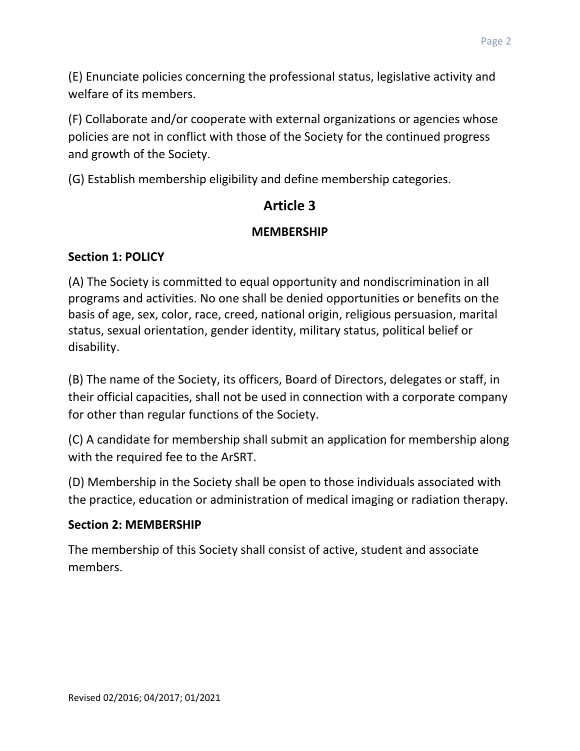(E) Enunciate policies concerning the professional status, legislative activity and welfare of its members.

(F) Collaborate and/or cooperate with external organizations or agencies whose policies are not in conflict with those of the Society for the continued progress and growth of the Society.

(G) Establish membership eligibility and define membership categories.

# **Article 3**

# **MEMBERSHIP**

# **Section 1: POLICY**

(A) The Society is committed to equal opportunity and nondiscrimination in all programs and activities. No one shall be denied opportunities or benefits on the basis of age, sex, color, race, creed, national origin, religious persuasion, marital status, sexual orientation, gender identity, military status, political belief or disability.

(B) The name of the Society, its officers, Board of Directors, delegates or staff, in their official capacities, shall not be used in connection with a corporate company for other than regular functions of the Society.

(C) A candidate for membership shall submit an application for membership along with the required fee to the ArSRT.

(D) Membership in the Society shall be open to those individuals associated with the practice, education or administration of medical imaging or radiation therapy.

# **Section 2: MEMBERSHIP**

The membership of this Society shall consist of active, student and associate members.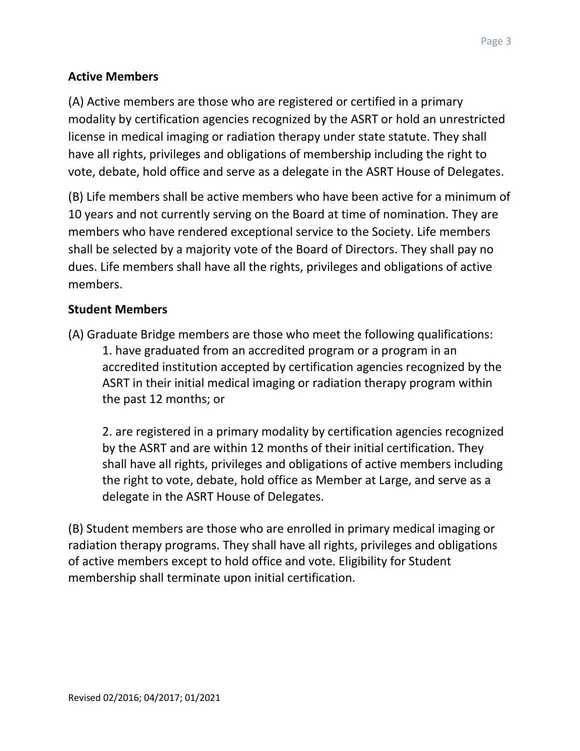## **Active Members**

(A) Active members are those who are registered or certified in a primary modality by certification agencies recognized by the ASRT or hold an unrestricted license in medical imaging or radiation therapy under state statute. They shall have all rights, privileges and obligations of membership including the right to vote, debate, hold office and serve as a delegate in the ASRT House of Delegates.

(B) Life members shall be active members who have been active for a minimum of 10 years and not currently serving on the Board at time of nomination. They are members who have rendered exceptional service to the Society. Life members shall be selected by a majority vote of the Board of Directors. They shall pay no dues. Life members shall have all the rights, privileges and obligations of active members.

### **Student Members**

(A) Graduate Bridge members are those who meet the following qualifications: 1. have graduated from an accredited program or a program in an accredited institution accepted by certification agencies recognized by the ASRT in their initial medical imaging or radiation therapy program within the past 12 months; or

2. are registered in a primary modality by certification agencies recognized by the ASRT and are within 12 months of their initial certification. They shall have all rights, privileges and obligations of active members including the right to vote, debate, hold office as Member at Large, and serve as a delegate in the ASRT House of Delegates.

(B) Student members are those who are enrolled in primary medical imaging or radiation therapy programs. They shall have all rights, privileges and obligations of active members except to hold office and vote. Eligibility for Student membership shall terminate upon initial certification.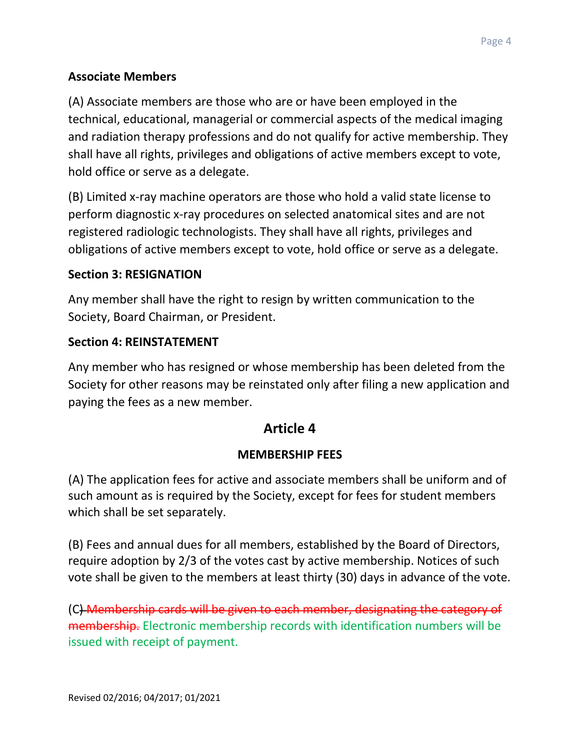### **Associate Members**

(A) Associate members are those who are or have been employed in the technical, educational, managerial or commercial aspects of the medical imaging and radiation therapy professions and do not qualify for active membership. They shall have all rights, privileges and obligations of active members except to vote, hold office or serve as a delegate.

(B) Limited x-ray machine operators are those who hold a valid state license to perform diagnostic x-ray procedures on selected anatomical sites and are not registered radiologic technologists. They shall have all rights, privileges and obligations of active members except to vote, hold office or serve as a delegate.

#### **Section 3: RESIGNATION**

Any member shall have the right to resign by written communication to the Society, Board Chairman, or President.

#### **Section 4: REINSTATEMENT**

Any member who has resigned or whose membership has been deleted from the Society for other reasons may be reinstated only after filing a new application and paying the fees as a new member.

# **Article 4**

#### **MEMBERSHIP FEES**

(A) The application fees for active and associate members shall be uniform and of such amount as is required by the Society, except for fees for student members which shall be set separately.

(B) Fees and annual dues for all members, established by the Board of Directors, require adoption by 2/3 of the votes cast by active membership. Notices of such vote shall be given to the members at least thirty (30) days in advance of the vote.

(C) Membership cards will be given to each member, designating the category of membership. Electronic membership records with identification numbers will be issued with receipt of payment.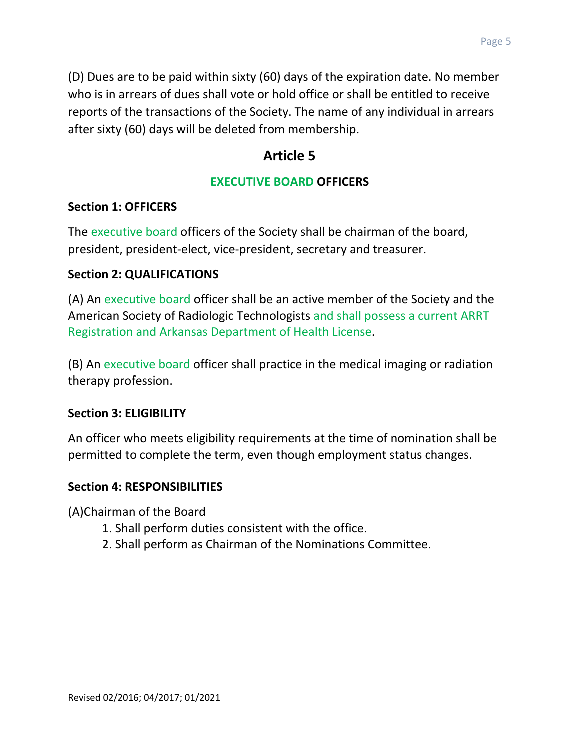(D) Dues are to be paid within sixty (60) days of the expiration date. No member who is in arrears of dues shall vote or hold office or shall be entitled to receive reports of the transactions of the Society. The name of any individual in arrears after sixty (60) days will be deleted from membership.

# **Article 5**

### **EXECUTIVE BOARD OFFICERS**

#### **Section 1: OFFICERS**

The executive board officers of the Society shall be chairman of the board, president, president-elect, vice-president, secretary and treasurer.

#### **Section 2: QUALIFICATIONS**

(A) An executive board officer shall be an active member of the Society and the American Society of Radiologic Technologists and shall possess a current ARRT Registration and Arkansas Department of Health License.

(B) An executive board officer shall practice in the medical imaging or radiation therapy profession.

#### **Section 3: ELIGIBILITY**

An officer who meets eligibility requirements at the time of nomination shall be permitted to complete the term, even though employment status changes.

#### **Section 4: RESPONSIBILITIES**

(A)Chairman of the Board

- 1. Shall perform duties consistent with the office.
- 2. Shall perform as Chairman of the Nominations Committee.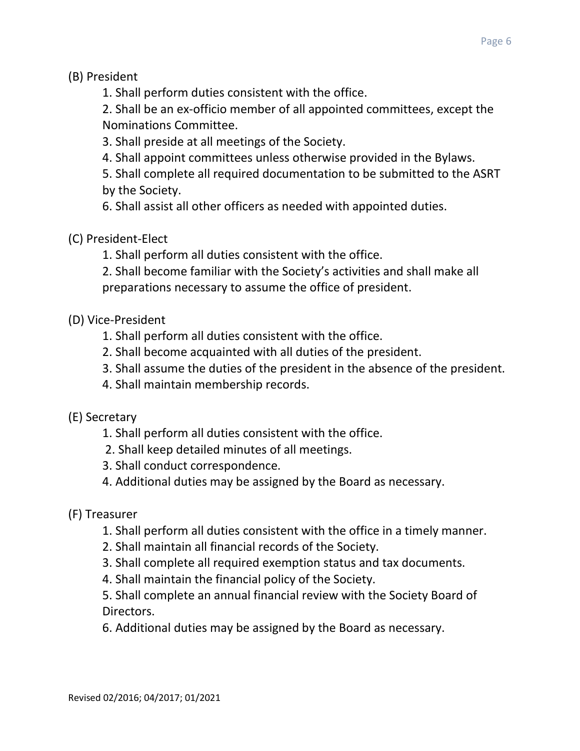(B) President

1. Shall perform duties consistent with the office.

2. Shall be an ex-officio member of all appointed committees, except the Nominations Committee.

3. Shall preside at all meetings of the Society.

4. Shall appoint committees unless otherwise provided in the Bylaws.

5. Shall complete all required documentation to be submitted to the ASRT by the Society.

6. Shall assist all other officers as needed with appointed duties.

(C) President-Elect

1. Shall perform all duties consistent with the office.

2. Shall become familiar with the Society's activities and shall make all preparations necessary to assume the office of president.

(D) Vice-President

- 1. Shall perform all duties consistent with the office.
- 2. Shall become acquainted with all duties of the president.
- 3. Shall assume the duties of the president in the absence of the president.
- 4. Shall maintain membership records.

(E) Secretary

- 1. Shall perform all duties consistent with the office.
- 2. Shall keep detailed minutes of all meetings.
- 3. Shall conduct correspondence.
- 4. Additional duties may be assigned by the Board as necessary.
- (F) Treasurer
	- 1. Shall perform all duties consistent with the office in a timely manner.
	- 2. Shall maintain all financial records of the Society.
	- 3. Shall complete all required exemption status and tax documents.
	- 4. Shall maintain the financial policy of the Society.

5. Shall complete an annual financial review with the Society Board of Directors.

6. Additional duties may be assigned by the Board as necessary.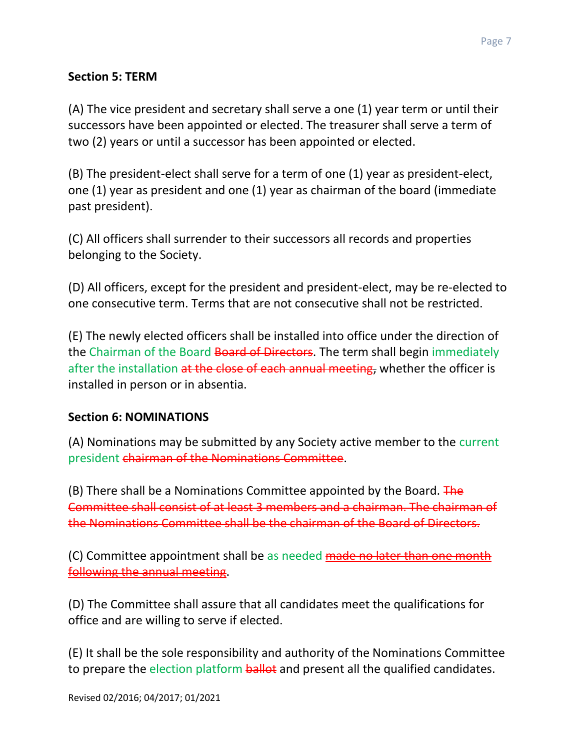#### **Section 5: TERM**

(A) The vice president and secretary shall serve a one (1) year term or until their successors have been appointed or elected. The treasurer shall serve a term of two (2) years or until a successor has been appointed or elected.

(B) The president-elect shall serve for a term of one (1) year as president-elect, one (1) year as president and one (1) year as chairman of the board (immediate past president).

(C) All officers shall surrender to their successors all records and properties belonging to the Society.

(D) All officers, except for the president and president-elect, may be re-elected to one consecutive term. Terms that are not consecutive shall not be restricted.

(E) The newly elected officers shall be installed into office under the direction of the Chairman of the Board Board of Directors. The term shall begin immediately after the installation at the close of each annual meeting, whether the officer is installed in person or in absentia.

#### **Section 6: NOMINATIONS**

(A) Nominations may be submitted by any Society active member to the current president chairman of the Nominations Committee.

(B) There shall be a Nominations Committee appointed by the Board.  $\overline{Fhe}$ Committee shall consist of at least 3 members and a chairman. The chairman of the Nominations Committee shall be the chairman of the Board of Directors.

(C) Committee appointment shall be as needed made no later than one month following the annual meeting.

(D) The Committee shall assure that all candidates meet the qualifications for office and are willing to serve if elected.

(E) It shall be the sole responsibility and authority of the Nominations Committee to prepare the election platform **ballot** and present all the qualified candidates.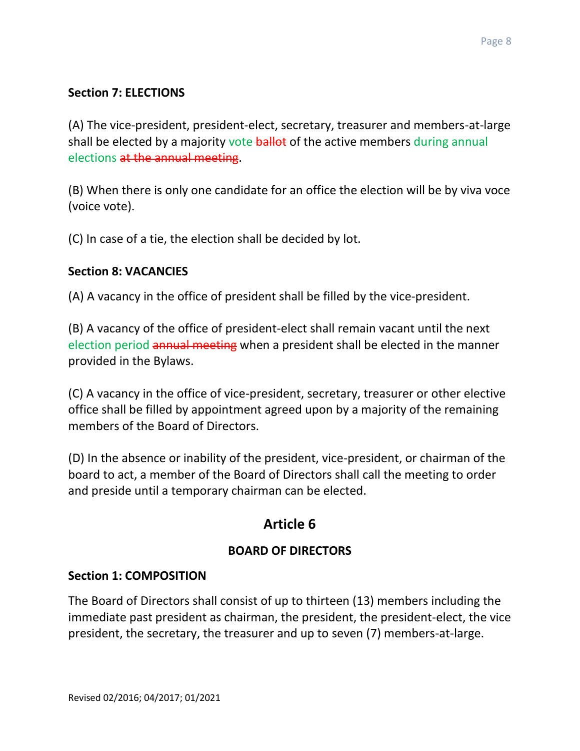### **Section 7: ELECTIONS**

(A) The vice-president, president-elect, secretary, treasurer and members-at-large shall be elected by a majority vote ballot of the active members during annual elections at the annual meeting.

(B) When there is only one candidate for an office the election will be by viva voce (voice vote).

(C) In case of a tie, the election shall be decided by lot.

#### **Section 8: VACANCIES**

(A) A vacancy in the office of president shall be filled by the vice-president.

(B) A vacancy of the office of president-elect shall remain vacant until the next election period annual meeting when a president shall be elected in the manner provided in the Bylaws.

(C) A vacancy in the office of vice-president, secretary, treasurer or other elective office shall be filled by appointment agreed upon by a majority of the remaining members of the Board of Directors.

(D) In the absence or inability of the president, vice-president, or chairman of the board to act, a member of the Board of Directors shall call the meeting to order and preside until a temporary chairman can be elected.

# **Article 6**

## **BOARD OF DIRECTORS**

#### **Section 1: COMPOSITION**

The Board of Directors shall consist of up to thirteen (13) members including the immediate past president as chairman, the president, the president-elect, the vice president, the secretary, the treasurer and up to seven (7) members-at-large.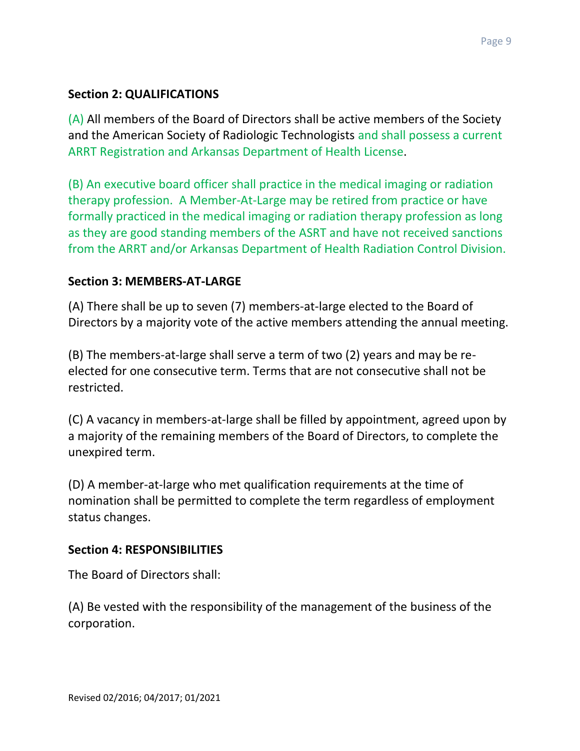### **Section 2: QUALIFICATIONS**

(A) All members of the Board of Directors shall be active members of the Society and the American Society of Radiologic Technologists and shall possess a current ARRT Registration and Arkansas Department of Health License.

(B) An executive board officer shall practice in the medical imaging or radiation therapy profession. A Member-At-Large may be retired from practice or have formally practiced in the medical imaging or radiation therapy profession as long as they are good standing members of the ASRT and have not received sanctions from the ARRT and/or Arkansas Department of Health Radiation Control Division.

#### **Section 3: MEMBERS-AT-LARGE**

(A) There shall be up to seven (7) members-at-large elected to the Board of Directors by a majority vote of the active members attending the annual meeting.

(B) The members-at-large shall serve a term of two (2) years and may be reelected for one consecutive term. Terms that are not consecutive shall not be restricted.

(C) A vacancy in members-at-large shall be filled by appointment, agreed upon by a majority of the remaining members of the Board of Directors, to complete the unexpired term.

(D) A member-at-large who met qualification requirements at the time of nomination shall be permitted to complete the term regardless of employment status changes.

#### **Section 4: RESPONSIBILITIES**

The Board of Directors shall:

(A) Be vested with the responsibility of the management of the business of the corporation.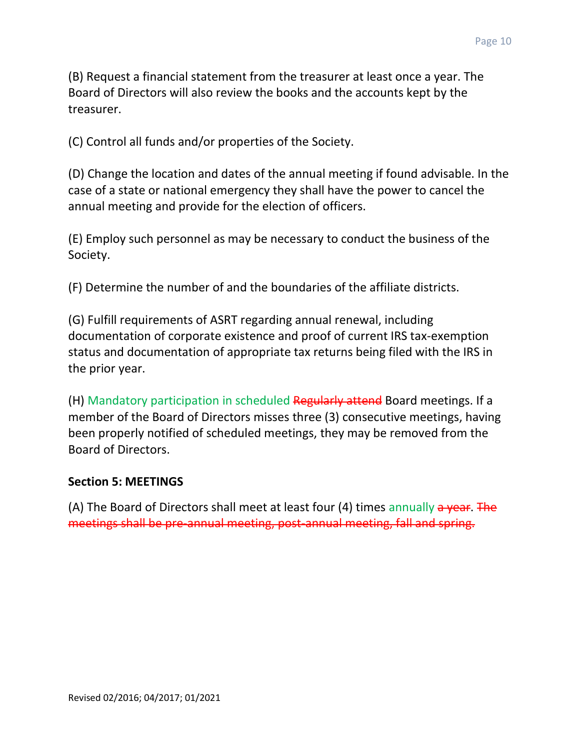(B) Request a financial statement from the treasurer at least once a year. The Board of Directors will also review the books and the accounts kept by the treasurer.

(C) Control all funds and/or properties of the Society.

(D) Change the location and dates of the annual meeting if found advisable. In the case of a state or national emergency they shall have the power to cancel the annual meeting and provide for the election of officers.

(E) Employ such personnel as may be necessary to conduct the business of the Society.

(F) Determine the number of and the boundaries of the affiliate districts.

(G) Fulfill requirements of ASRT regarding annual renewal, including documentation of corporate existence and proof of current IRS tax-exemption status and documentation of appropriate tax returns being filed with the IRS in the prior year.

(H) Mandatory participation in scheduled Regularly attend Board meetings. If a member of the Board of Directors misses three (3) consecutive meetings, having been properly notified of scheduled meetings, they may be removed from the Board of Directors.

#### **Section 5: MEETINGS**

(A) The Board of Directors shall meet at least four (4) times annually  $a$  year. The meetings shall be pre-annual meeting, post-annual meeting, fall and spring.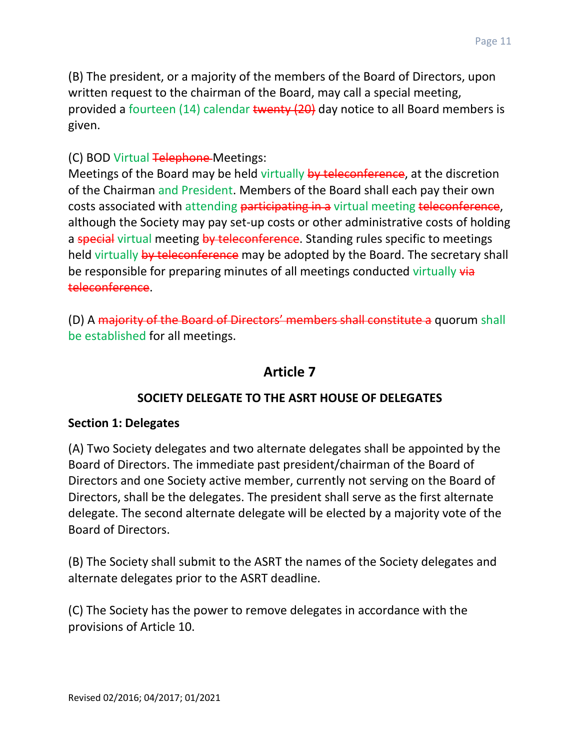(B) The president, or a majority of the members of the Board of Directors, upon written request to the chairman of the Board, may call a special meeting, provided a fourteen (14) calendar twenty (20) day notice to all Board members is given.

#### (C) BOD Virtual Telephone Meetings:

Meetings of the Board may be held virtually by teleconference, at the discretion of the Chairman and President. Members of the Board shall each pay their own costs associated with attending participating in a virtual meeting teleconference, although the Society may pay set-up costs or other administrative costs of holding a special virtual meeting by teleconference. Standing rules specific to meetings held virtually by teleconference may be adopted by the Board. The secretary shall be responsible for preparing minutes of all meetings conducted virtually via teleconference.

(D) A majority of the Board of Directors' members shall constitute a quorum shall be established for all meetings.

## **Article 7**

#### **SOCIETY DELEGATE TO THE ASRT HOUSE OF DELEGATES**

#### **Section 1: Delegates**

(A) Two Society delegates and two alternate delegates shall be appointed by the Board of Directors. The immediate past president/chairman of the Board of Directors and one Society active member, currently not serving on the Board of Directors, shall be the delegates. The president shall serve as the first alternate delegate. The second alternate delegate will be elected by a majority vote of the Board of Directors.

(B) The Society shall submit to the ASRT the names of the Society delegates and alternate delegates prior to the ASRT deadline.

(C) The Society has the power to remove delegates in accordance with the provisions of Article 10.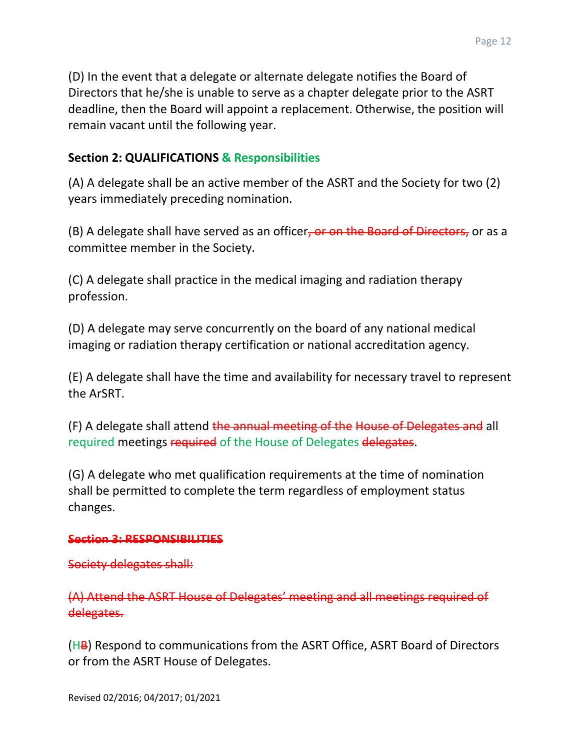(D) In the event that a delegate or alternate delegate notifies the Board of Directors that he/she is unable to serve as a chapter delegate prior to the ASRT deadline, then the Board will appoint a replacement. Otherwise, the position will remain vacant until the following year.

#### **Section 2: QUALIFICATIONS & Responsibilities**

(A) A delegate shall be an active member of the ASRT and the Society for two (2) years immediately preceding nomination.

(B) A delegate shall have served as an officer, or on the Board of Directors, or as a committee member in the Society.

(C) A delegate shall practice in the medical imaging and radiation therapy profession.

(D) A delegate may serve concurrently on the board of any national medical imaging or radiation therapy certification or national accreditation agency.

(E) A delegate shall have the time and availability for necessary travel to represent the ArSRT.

(F) A delegate shall attend the annual meeting of the House of Delegates and all required meetings required of the House of Delegates delegates.

(G) A delegate who met qualification requirements at the time of nomination shall be permitted to complete the term regardless of employment status changes.

#### **Section 3: RESPONSIBILITIES**

#### Society delegates shall:

(A) Attend the ASRT House of Delegates' meeting and all meetings required of delegates.

 $(HB)$  Respond to communications from the ASRT Office, ASRT Board of Directors or from the ASRT House of Delegates.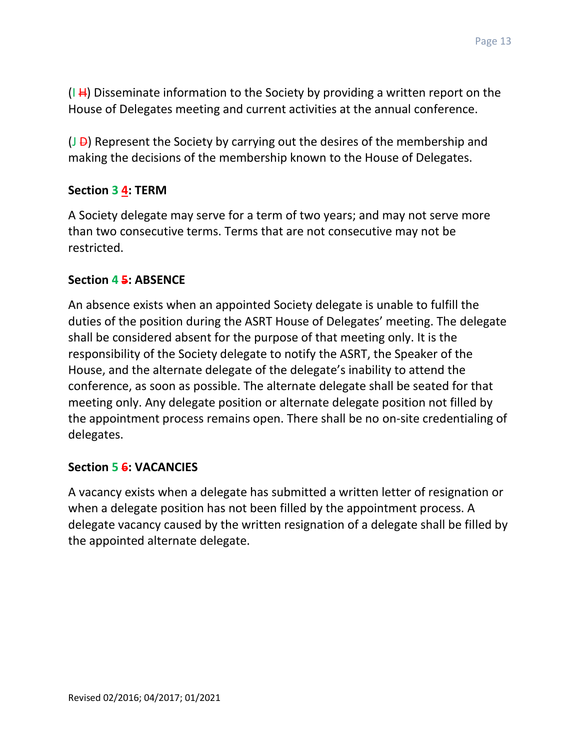$(I H)$  Disseminate information to the Society by providing a written report on the House of Delegates meeting and current activities at the annual conference.

 $(J - D)$  Represent the Society by carrying out the desires of the membership and making the decisions of the membership known to the House of Delegates.

#### **Section 3 4: TERM**

A Society delegate may serve for a term of two years; and may not serve more than two consecutive terms. Terms that are not consecutive may not be restricted.

#### **Section 4 5: ABSENCE**

An absence exists when an appointed Society delegate is unable to fulfill the duties of the position during the ASRT House of Delegates' meeting. The delegate shall be considered absent for the purpose of that meeting only. It is the responsibility of the Society delegate to notify the ASRT, the Speaker of the House, and the alternate delegate of the delegate's inability to attend the conference, as soon as possible. The alternate delegate shall be seated for that meeting only. Any delegate position or alternate delegate position not filled by the appointment process remains open. There shall be no on-site credentialing of delegates.

#### **Section 5 6: VACANCIES**

A vacancy exists when a delegate has submitted a written letter of resignation or when a delegate position has not been filled by the appointment process. A delegate vacancy caused by the written resignation of a delegate shall be filled by the appointed alternate delegate.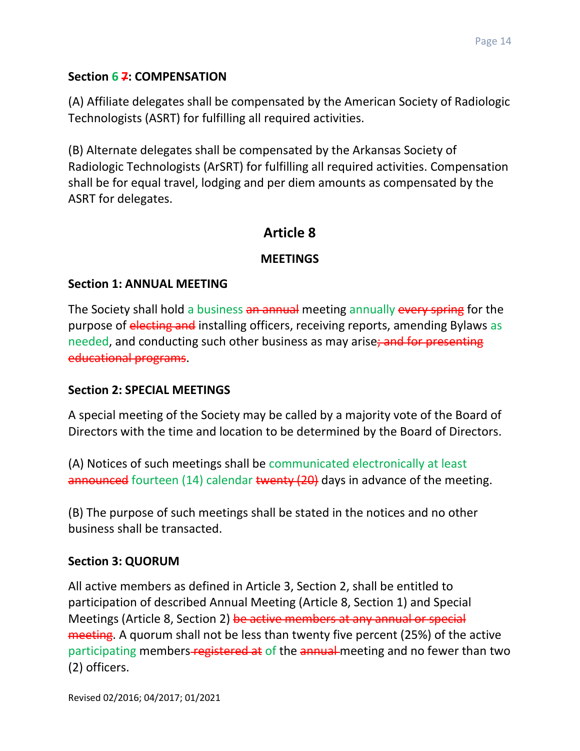#### **Section 6 7: COMPENSATION**

(A) Affiliate delegates shall be compensated by the American Society of Radiologic Technologists (ASRT) for fulfilling all required activities.

(B) Alternate delegates shall be compensated by the Arkansas Society of Radiologic Technologists (ArSRT) for fulfilling all required activities. Compensation shall be for equal travel, lodging and per diem amounts as compensated by the ASRT for delegates.

## **Article 8**

#### **MEETINGS**

#### **Section 1: ANNUAL MEETING**

The Society shall hold a business an annual meeting annually every spring for the purpose of electing and installing officers, receiving reports, amending Bylaws as needed, and conducting such other business as may arise; and for presenting educational programs.

#### **Section 2: SPECIAL MEETINGS**

A special meeting of the Society may be called by a majority vote of the Board of Directors with the time and location to be determined by the Board of Directors.

(A) Notices of such meetings shall be communicated electronically at least announced fourteen (14) calendar twenty (20) days in advance of the meeting.

(B) The purpose of such meetings shall be stated in the notices and no other business shall be transacted.

#### **Section 3: QUORUM**

All active members as defined in Article 3, Section 2, shall be entitled to participation of described Annual Meeting (Article 8, Section 1) and Special Meetings (Article 8, Section 2) be active members at any annual or special meeting. A quorum shall not be less than twenty five percent (25%) of the active participating members-registered at of the annual meeting and no fewer than two (2) officers.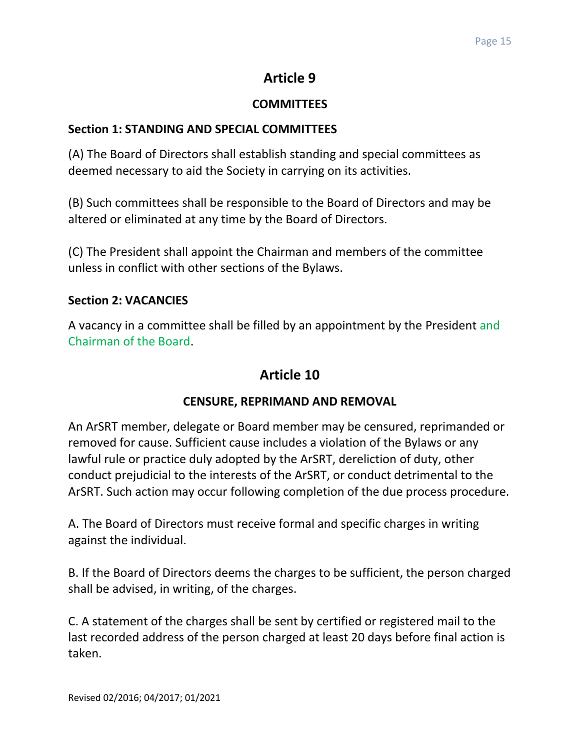# **Article 9**

## **COMMITTEES**

## **Section 1: STANDING AND SPECIAL COMMITTEES**

(A) The Board of Directors shall establish standing and special committees as deemed necessary to aid the Society in carrying on its activities.

(B) Such committees shall be responsible to the Board of Directors and may be altered or eliminated at any time by the Board of Directors.

(C) The President shall appoint the Chairman and members of the committee unless in conflict with other sections of the Bylaws.

### **Section 2: VACANCIES**

A vacancy in a committee shall be filled by an appointment by the President and Chairman of the Board.

# **Article 10**

## **CENSURE, REPRIMAND AND REMOVAL**

An ArSRT member, delegate or Board member may be censured, reprimanded or removed for cause. Sufficient cause includes a violation of the Bylaws or any lawful rule or practice duly adopted by the ArSRT, dereliction of duty, other conduct prejudicial to the interests of the ArSRT, or conduct detrimental to the ArSRT. Such action may occur following completion of the due process procedure.

A. The Board of Directors must receive formal and specific charges in writing against the individual.

B. If the Board of Directors deems the charges to be sufficient, the person charged shall be advised, in writing, of the charges.

C. A statement of the charges shall be sent by certified or registered mail to the last recorded address of the person charged at least 20 days before final action is taken.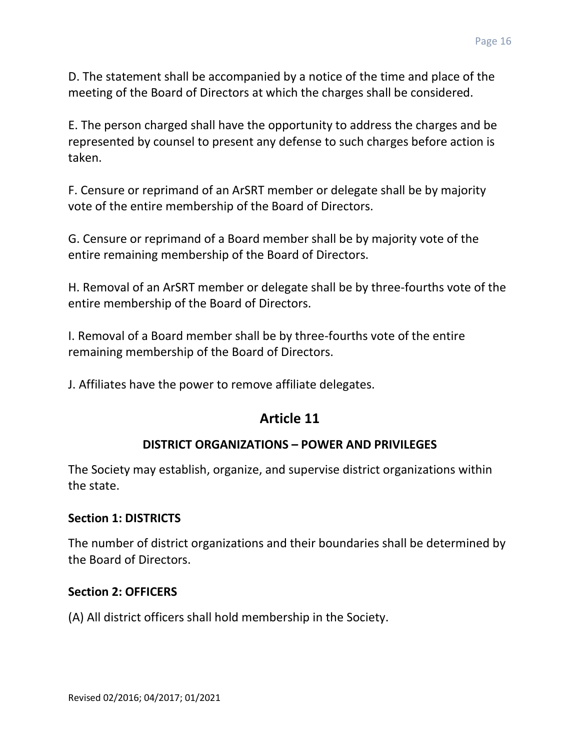D. The statement shall be accompanied by a notice of the time and place of the meeting of the Board of Directors at which the charges shall be considered.

E. The person charged shall have the opportunity to address the charges and be represented by counsel to present any defense to such charges before action is taken.

F. Censure or reprimand of an ArSRT member or delegate shall be by majority vote of the entire membership of the Board of Directors.

G. Censure or reprimand of a Board member shall be by majority vote of the entire remaining membership of the Board of Directors.

H. Removal of an ArSRT member or delegate shall be by three-fourths vote of the entire membership of the Board of Directors.

I. Removal of a Board member shall be by three-fourths vote of the entire remaining membership of the Board of Directors.

J. Affiliates have the power to remove affiliate delegates.

# **Article 11**

## **DISTRICT ORGANIZATIONS – POWER AND PRIVILEGES**

The Society may establish, organize, and supervise district organizations within the state.

#### **Section 1: DISTRICTS**

The number of district organizations and their boundaries shall be determined by the Board of Directors.

#### **Section 2: OFFICERS**

(A) All district officers shall hold membership in the Society.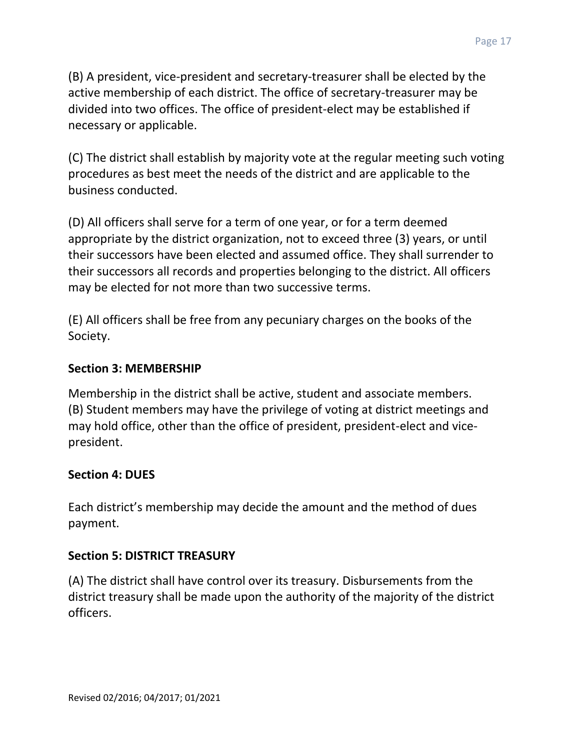(B) A president, vice-president and secretary-treasurer shall be elected by the active membership of each district. The office of secretary-treasurer may be divided into two offices. The office of president-elect may be established if necessary or applicable.

(C) The district shall establish by majority vote at the regular meeting such voting procedures as best meet the needs of the district and are applicable to the business conducted.

(D) All officers shall serve for a term of one year, or for a term deemed appropriate by the district organization, not to exceed three (3) years, or until their successors have been elected and assumed office. They shall surrender to their successors all records and properties belonging to the district. All officers may be elected for not more than two successive terms.

(E) All officers shall be free from any pecuniary charges on the books of the Society.

#### **Section 3: MEMBERSHIP**

Membership in the district shall be active, student and associate members. (B) Student members may have the privilege of voting at district meetings and may hold office, other than the office of president, president-elect and vicepresident.

#### **Section 4: DUES**

Each district's membership may decide the amount and the method of dues payment.

#### **Section 5: DISTRICT TREASURY**

(A) The district shall have control over its treasury. Disbursements from the district treasury shall be made upon the authority of the majority of the district officers.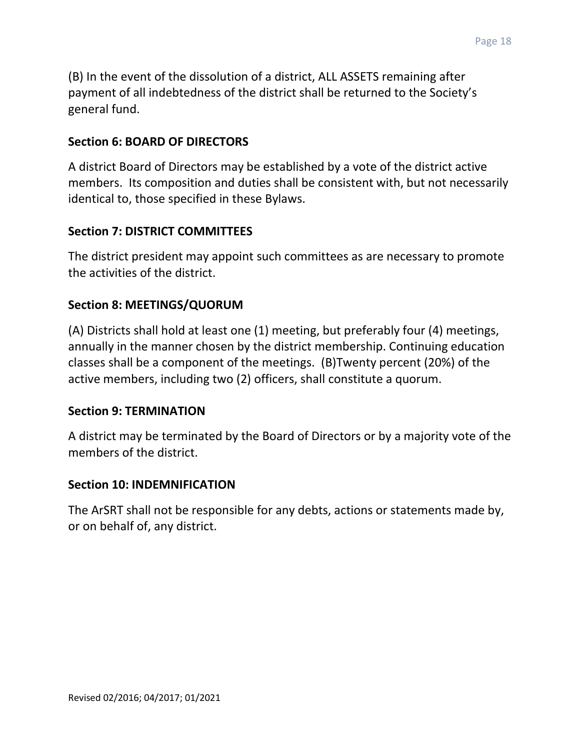(B) In the event of the dissolution of a district, ALL ASSETS remaining after payment of all indebtedness of the district shall be returned to the Society's general fund.

#### **Section 6: BOARD OF DIRECTORS**

A district Board of Directors may be established by a vote of the district active members. Its composition and duties shall be consistent with, but not necessarily identical to, those specified in these Bylaws.

#### **Section 7: DISTRICT COMMITTEES**

The district president may appoint such committees as are necessary to promote the activities of the district.

#### **Section 8: MEETINGS/QUORUM**

(A) Districts shall hold at least one (1) meeting, but preferably four (4) meetings, annually in the manner chosen by the district membership. Continuing education classes shall be a component of the meetings. (B)Twenty percent (20%) of the active members, including two (2) officers, shall constitute a quorum.

#### **Section 9: TERMINATION**

A district may be terminated by the Board of Directors or by a majority vote of the members of the district.

#### **Section 10: INDEMNIFICATION**

The ArSRT shall not be responsible for any debts, actions or statements made by, or on behalf of, any district.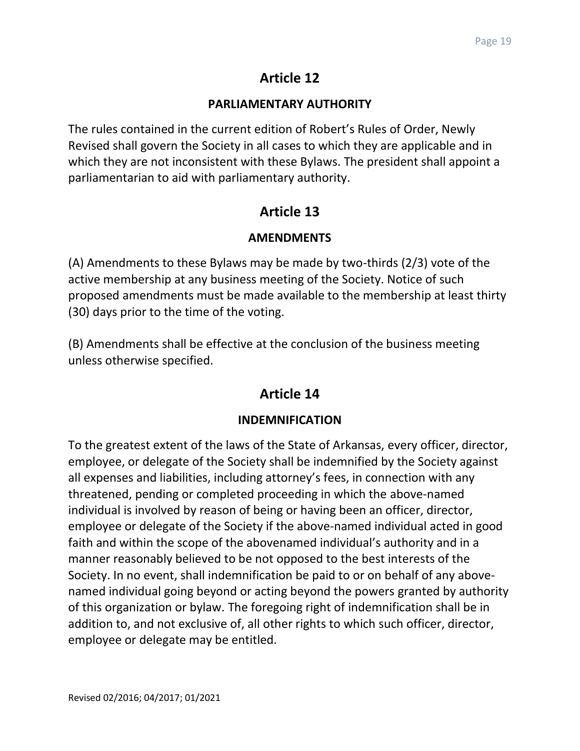# **Article 12**

### **PARLIAMENTARY AUTHORITY**

The rules contained in the current edition of Robert's Rules of Order, Newly Revised shall govern the Society in all cases to which they are applicable and in which they are not inconsistent with these Bylaws. The president shall appoint a parliamentarian to aid with parliamentary authority.

# **Article 13**

## **AMENDMENTS**

(A) Amendments to these Bylaws may be made by two-thirds (2/3) vote of the active membership at any business meeting of the Society. Notice of such proposed amendments must be made available to the membership at least thirty (30) days prior to the time of the voting.

(B) Amendments shall be effective at the conclusion of the business meeting unless otherwise specified.

# **Article 14**

## **INDEMNIFICATION**

To the greatest extent of the laws of the State of Arkansas, every officer, director, employee, or delegate of the Society shall be indemnified by the Society against all expenses and liabilities, including attorney's fees, in connection with any threatened, pending or completed proceeding in which the above-named individual is involved by reason of being or having been an officer, director, employee or delegate of the Society if the above-named individual acted in good faith and within the scope of the abovenamed individual's authority and in a manner reasonably believed to be not opposed to the best interests of the Society. In no event, shall indemnification be paid to or on behalf of any abovenamed individual going beyond or acting beyond the powers granted by authority of this organization or bylaw. The foregoing right of indemnification shall be in addition to, and not exclusive of, all other rights to which such officer, director, employee or delegate may be entitled.